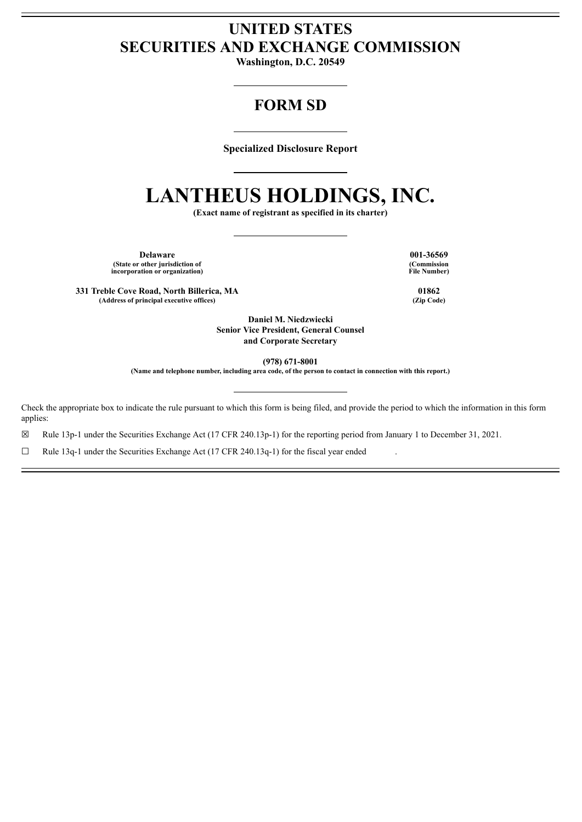# **UNITED STATES SECURITIES AND EXCHANGE COMMISSION**

**Washington, D.C. 20549**

## **FORM SD**

**Specialized Disclosure Report**

# **LANTHEUS HOLDINGS, INC.**

**(Exact name of registrant as specified in its charter)**

**Delaware 001-36569 (State or other jurisdiction of incorporation or organization)**

**331 Treble Cove Road, North Billerica, MA 01862 (Address of principal executive offices) (Zip Code)**

**(Commission File Number)**

**Daniel M. Niedzwiecki Senior Vice President, General Counsel and Corporate Secretary**

**(978) 671-8001**

(Name and telephone number, including area code, of the person to contact in connection with this report.)

Check the appropriate box to indicate the rule pursuant to which this form is being filed, and provide the period to which the information in this form applies:

☒ Rule 13p-1 under the Securities Exchange Act (17 CFR 240.13p-1) for the reporting period from January 1 to December 31, 2021.

□ Rule 13q-1 under the Securities Exchange Act (17 CFR 240.13q-1) for the fiscal year ended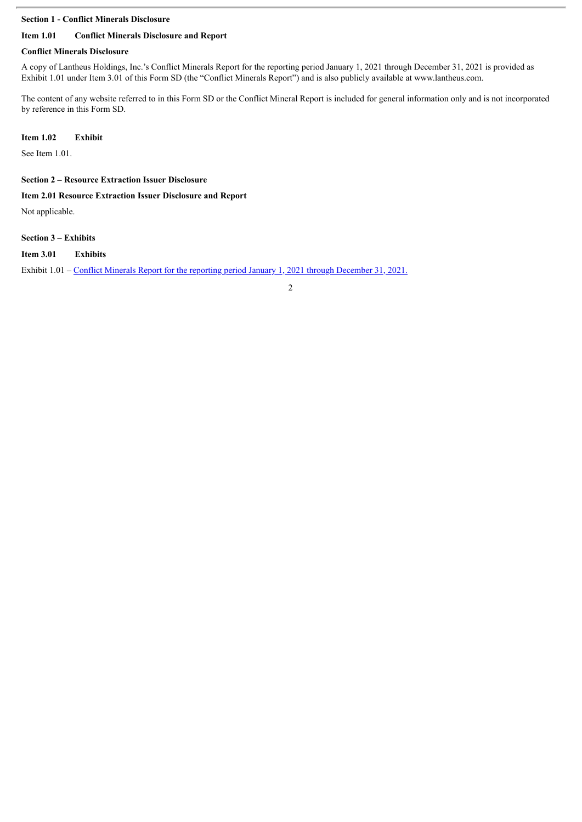#### **Section 1 - Conflict Minerals Disclosure**

#### **Item 1.01 Conflict Minerals Disclosure and Report**

#### **Conflict Minerals Disclosure**

A copy of Lantheus Holdings, Inc.'s Conflict Minerals Report for the reporting period January 1, 2021 through December 31, 2021 is provided as Exhibit 1.01 under Item 3.01 of this Form SD (the "Conflict Minerals Report") and is also publicly available at www.lantheus.com.

The content of any website referred to in this Form SD or the Conflict Mineral Report is included for general information only and is not incorporated by reference in this Form SD.

#### **Item 1.02 Exhibit**

See Item 1.01.

**Section 2 – Resource Extraction Issuer Disclosure**

#### **Item 2.01 Resource Extraction Issuer Disclosure and Report**

Not applicable.

#### **Section 3 – Exhibits**

#### **Item 3.01 Exhibits**

Exhibit 1.01 – Conflict Minerals Report for the reporting period January 1, 2021 through [December](#page-4-0) 31, 2021.

2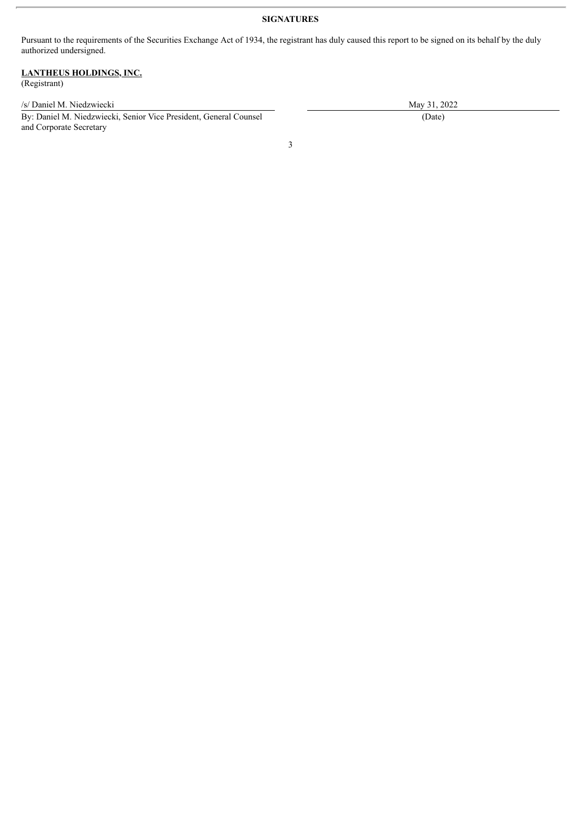#### **SIGNATURES**

Pursuant to the requirements of the Securities Exchange Act of 1934, the registrant has duly caused this report to be signed on its behalf by the duly authorized undersigned.

### **LANTHEUS HOLDINGS, INC.**

(Registrant)

/s/ Daniel M. Niedzwiecki May 31, 2022

By: Daniel M. Niedzwiecki, Senior Vice President, General Counsel and Corporate Secretary

(Date)

3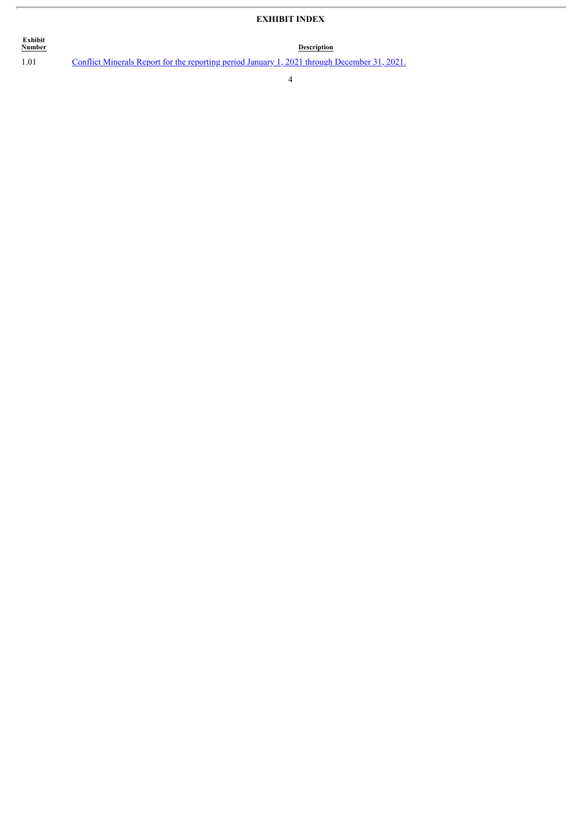### **EXHIBIT INDEX**

**Description** 

**Exhibit**

ŗ.

1.01 Conflict Minerals Report for the reporting period January 1, 2021 through [December](#page-4-0) 31, 2021.

4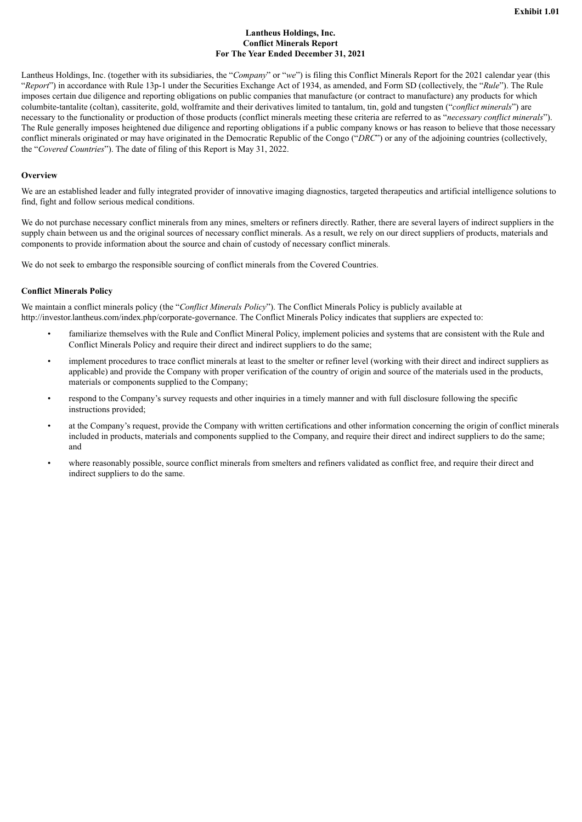#### **Lantheus Holdings, Inc. Conflict Minerals Report For The Year Ended December 31, 2021**

<span id="page-4-0"></span>Lantheus Holdings, Inc. (together with its subsidiaries, the "*Company*" or "*we*") is filing this Conflict Minerals Report for the 2021 calendar year (this "*Report*") in accordance with Rule 13p-1 under the Securities Exchange Act of 1934, as amended, and Form SD (collectively, the "*Rule*"). The Rule imposes certain due diligence and reporting obligations on public companies that manufacture (or contract to manufacture) any products for which columbite-tantalite (coltan), cassiterite, gold, wolframite and their derivatives limited to tantalum, tin, gold and tungsten ("*conflict minerals*") are necessary to the functionality or production of those products (conflict minerals meeting these criteria are referred to as "*necessary conflict minerals*"). The Rule generally imposes heightened due diligence and reporting obligations if a public company knows or has reason to believe that those necessary conflict minerals originated or may have originated in the Democratic Republic of the Congo ("*DRC*") or any of the adjoining countries (collectively, the "*Covered Countries*"). The date of filing of this Report is May 31, 2022.

#### **Overview**

We are an established leader and fully integrated provider of innovative imaging diagnostics, targeted therapeutics and artificial intelligence solutions to find, fight and follow serious medical conditions.

We do not purchase necessary conflict minerals from any mines, smelters or refiners directly. Rather, there are several layers of indirect suppliers in the supply chain between us and the original sources of necessary conflict minerals. As a result, we rely on our direct suppliers of products, materials and components to provide information about the source and chain of custody of necessary conflict minerals.

We do not seek to embargo the responsible sourcing of conflict minerals from the Covered Countries.

#### **Conflict Minerals Policy**

We maintain a conflict minerals policy (the "*Conflict Minerals Policy*"). The Conflict Minerals Policy is publicly available at http://investor.lantheus.com/index.php/corporate-governance. The Conflict Minerals Policy indicates that suppliers are expected to:

- familiarize themselves with the Rule and Conflict Mineral Policy, implement policies and systems that are consistent with the Rule and Conflict Minerals Policy and require their direct and indirect suppliers to do the same;
- implement procedures to trace conflict minerals at least to the smelter or refiner level (working with their direct and indirect suppliers as applicable) and provide the Company with proper verification of the country of origin and source of the materials used in the products, materials or components supplied to the Company;
- respond to the Company's survey requests and other inquiries in a timely manner and with full disclosure following the specific instructions provided;
- at the Company's request, provide the Company with written certifications and other information concerning the origin of conflict minerals included in products, materials and components supplied to the Company, and require their direct and indirect suppliers to do the same; and
- where reasonably possible, source conflict minerals from smelters and refiners validated as conflict free, and require their direct and indirect suppliers to do the same.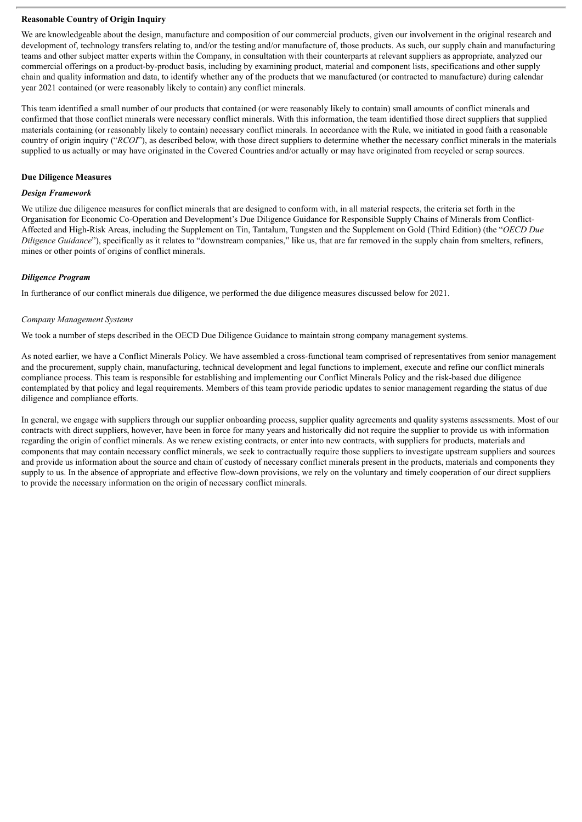#### **Reasonable Country of Origin Inquiry**

We are knowledgeable about the design, manufacture and composition of our commercial products, given our involvement in the original research and development of, technology transfers relating to, and/or the testing and/or manufacture of, those products. As such, our supply chain and manufacturing teams and other subject matter experts within the Company, in consultation with their counterparts at relevant suppliers as appropriate, analyzed our commercial offerings on a product-by-product basis, including by examining product, material and component lists, specifications and other supply chain and quality information and data, to identify whether any of the products that we manufactured (or contracted to manufacture) during calendar year 2021 contained (or were reasonably likely to contain) any conflict minerals.

This team identified a small number of our products that contained (or were reasonably likely to contain) small amounts of conflict minerals and confirmed that those conflict minerals were necessary conflict minerals. With this information, the team identified those direct suppliers that supplied materials containing (or reasonably likely to contain) necessary conflict minerals. In accordance with the Rule, we initiated in good faith a reasonable country of origin inquiry ("*RCOI*"), as described below, with those direct suppliers to determine whether the necessary conflict minerals in the materials supplied to us actually or may have originated in the Covered Countries and/or actually or may have originated from recycled or scrap sources.

#### **Due Diligence Measures**

#### *Design Framework*

We utilize due diligence measures for conflict minerals that are designed to conform with, in all material respects, the criteria set forth in the Organisation for Economic Co-Operation and Development's Due Diligence Guidance for Responsible Supply Chains of Minerals from Conflict-Affected and High-Risk Areas, including the Supplement on Tin, Tantalum, Tungsten and the Supplement on Gold (Third Edition) (the "*OECD Due Diligence Guidance*"), specifically as it relates to "downstream companies," like us, that are far removed in the supply chain from smelters, refiners, mines or other points of origins of conflict minerals.

#### *Diligence Program*

In furtherance of our conflict minerals due diligence, we performed the due diligence measures discussed below for 2021.

#### *Company Management Systems*

We took a number of steps described in the OECD Due Diligence Guidance to maintain strong company management systems.

As noted earlier, we have a Conflict Minerals Policy. We have assembled a cross-functional team comprised of representatives from senior management and the procurement, supply chain, manufacturing, technical development and legal functions to implement, execute and refine our conflict minerals compliance process. This team is responsible for establishing and implementing our Conflict Minerals Policy and the risk-based due diligence contemplated by that policy and legal requirements. Members of this team provide periodic updates to senior management regarding the status of due diligence and compliance efforts.

In general, we engage with suppliers through our supplier onboarding process, supplier quality agreements and quality systems assessments. Most of our contracts with direct suppliers, however, have been in force for many years and historically did not require the supplier to provide us with information regarding the origin of conflict minerals. As we renew existing contracts, or enter into new contracts, with suppliers for products, materials and components that may contain necessary conflict minerals, we seek to contractually require those suppliers to investigate upstream suppliers and sources and provide us information about the source and chain of custody of necessary conflict minerals present in the products, materials and components they supply to us. In the absence of appropriate and effective flow-down provisions, we rely on the voluntary and timely cooperation of our direct suppliers to provide the necessary information on the origin of necessary conflict minerals.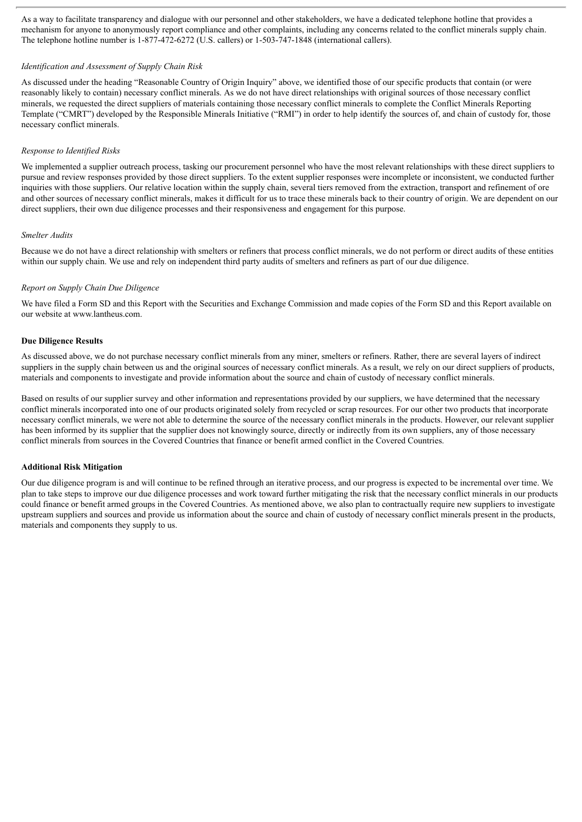As a way to facilitate transparency and dialogue with our personnel and other stakeholders, we have a dedicated telephone hotline that provides a mechanism for anyone to anonymously report compliance and other complaints, including any concerns related to the conflict minerals supply chain. The telephone hotline number is 1-877-472-6272 (U.S. callers) or 1-503-747-1848 (international callers).

#### *Identification and Assessment of Supply Chain Risk*

As discussed under the heading "Reasonable Country of Origin Inquiry" above, we identified those of our specific products that contain (or were reasonably likely to contain) necessary conflict minerals. As we do not have direct relationships with original sources of those necessary conflict minerals, we requested the direct suppliers of materials containing those necessary conflict minerals to complete the Conflict Minerals Reporting Template ("CMRT") developed by the Responsible Minerals Initiative ("RMI") in order to help identify the sources of, and chain of custody for, those necessary conflict minerals.

#### *Response to Identified Risks*

We implemented a supplier outreach process, tasking our procurement personnel who have the most relevant relationships with these direct suppliers to pursue and review responses provided by those direct suppliers. To the extent supplier responses were incomplete or inconsistent, we conducted further inquiries with those suppliers. Our relative location within the supply chain, several tiers removed from the extraction, transport and refinement of ore and other sources of necessary conflict minerals, makes it difficult for us to trace these minerals back to their country of origin. We are dependent on our direct suppliers, their own due diligence processes and their responsiveness and engagement for this purpose.

#### *Smelter Audits*

Because we do not have a direct relationship with smelters or refiners that process conflict minerals, we do not perform or direct audits of these entities within our supply chain. We use and rely on independent third party audits of smelters and refiners as part of our due diligence.

#### *Report on Supply Chain Due Diligence*

We have filed a Form SD and this Report with the Securities and Exchange Commission and made copies of the Form SD and this Report available on our website at www.lantheus.com.

#### **Due Diligence Results**

As discussed above, we do not purchase necessary conflict minerals from any miner, smelters or refiners. Rather, there are several layers of indirect suppliers in the supply chain between us and the original sources of necessary conflict minerals. As a result, we rely on our direct suppliers of products, materials and components to investigate and provide information about the source and chain of custody of necessary conflict minerals.

Based on results of our supplier survey and other information and representations provided by our suppliers, we have determined that the necessary conflict minerals incorporated into one of our products originated solely from recycled or scrap resources. For our other two products that incorporate necessary conflict minerals, we were not able to determine the source of the necessary conflict minerals in the products. However, our relevant supplier has been informed by its supplier that the supplier does not knowingly source, directly or indirectly from its own suppliers, any of those necessary conflict minerals from sources in the Covered Countries that finance or benefit armed conflict in the Covered Countries.

#### **Additional Risk Mitigation**

Our due diligence program is and will continue to be refined through an iterative process, and our progress is expected to be incremental over time. We plan to take steps to improve our due diligence processes and work toward further mitigating the risk that the necessary conflict minerals in our products could finance or benefit armed groups in the Covered Countries. As mentioned above, we also plan to contractually require new suppliers to investigate upstream suppliers and sources and provide us information about the source and chain of custody of necessary conflict minerals present in the products, materials and components they supply to us.